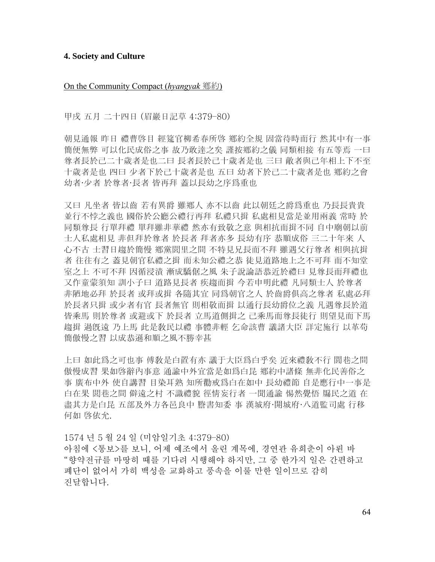### **4. Society and Culture**

On the Community Compact (*hyangyak* 鄕約)

甲戌 五月 二十四日 (眉巖日記草 4:379–80)

朝見通報 昨日 禮曹啓目 經筵官柳希春所啓 鄕約全規 固當待時而行 然其中有一事 簡便無弊 可以化民成俗之事 故乃敢達之矣 謹按鄕約之儀 同類相接 有五等焉 一曰 尊者長於己二十歲者是也二曰 長者長於己十歲者是也 三曰 敵者與己年相上下不至 十歲者是也 四曰 少者下於己十歲者是也 五曰 幼者下於己二十歲者是也 鄕約之會 幼者·少者 於尊者·長者 皆再拜 蓋以長幼之序爲重也

又曰 凡坐者 皆以齒 若有異爵 雖鄕人 亦不以齒 此以朝廷之爵爲重也 乃長長貴貴 並行不悖之義也 國俗於公廳公禮行再拜 私禮只揖 私處相見當是並用兩義 常時 於 同類尊長 行單拜禮 單拜雖非華禮 然亦有致敬之意 與相抗而揖不同 自中廟朝以前 士人私處相見 非但拜於尊者 於長者 拜者亦多 長幼有序 恭順成俗 三二十年來 人 心不古 士習日趨於簡慢 鄕黨閭里之間 不特見兄長而不拜 雖遇父行尊者 相與抗揖 者 往往有之 蓋見朝官私禮之揖 而未知公禮之恭 徒見道路地上之不可拜 而不知堂 室之上 不可不拜 因循浸漬 漸成驕倨之風 朱子說論語恭近於禮曰 見尊長而拜禮也 又作童蒙須知 訓小子曰 道路見長者 疾趨而揖 今若申明此禮 凡同類士人 於尊者 非陋地必拜 於長者 或拜或揖 各隨其宜 同爲朝官之人 於齒爵俱高之尊者 私處必拜 於長者只揖 或少者有官 長者無官 則相敬而揖 以通行長幼爵位之義 凡遇尊長於道 皆乘馬 則於尊者 或避或下 於長者 立馬道側揖之 己乘馬而尊長徒行 則望見而下馬 趨揖 過旣遠 乃上馬 此是敎民以禮 事體非輕 乞命該曹 議諸大臣 詳定施行 以革苟 簡傲慢之習 以成恭遜和順之風不勝幸甚

上曰 如此爲之可也事 傅敎是白置有亦 議于大臣爲白乎矣 近來禮敎不行 閭巷之間 傲慢成習 果如啓辭內事意 通諭中外宜當是如爲白昆 鄕約中諸條 無非化民善俗之 事 廣布中外 使自講習 目染耳熟 知所勸戒爲白在如中 長幼禮節 自是應行中一事是 白在果 閭巷之間 僻遠之村 不識禮貌 徑情妄行者 一聞通諭 惕然覺悟 牖民之道 在 盡其方是白昆 五部及外方各邑良中 謄書知委 事 漢城府·開城府·八道監司處 行移 何如 啓依允.

1574 년 5 월 24 일 (미암일기초 4:379–80) 아침에 <통보>를 보니, 어제 예조에서 올린 계목에, 경연관 유희춘이 아뢴 바 "향약전규를 마땅히 때를 기다려 시행해야 하지만, 그 중 한가지 일은 간편하고 폐단이 없어서 가히 백성을 교화하고 풍속을 이룰 만한 일이므로 감히 진달합니다.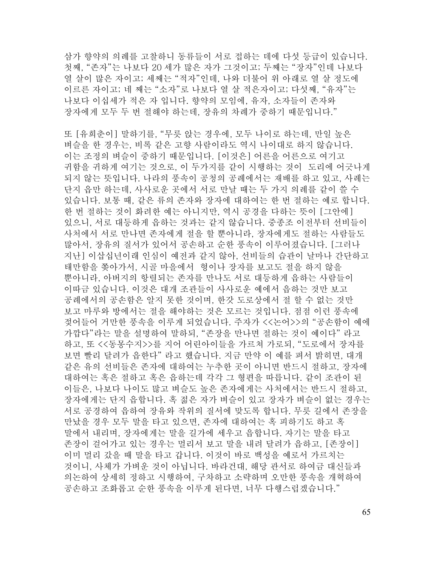삼가 향약의 의례를 고찰하니 동류들이 서로 접하는 데에 다섯 등급이 있습니다. 첫째, "존자"는 나보다 20 세가 많은 자가 그것이고; 두째는 "장자"인데 나보다 열 살이 많은 자이고; 세째는 "적자"인데, 나와 더불어 위 아래로 열 살 정도에 이르른 자이고; 네 째는 "소자"로 나보다 열 살 적은자이고; 다섯째, "유자"는 나보다 이십세가 적은 자 입니다. 향약의 모임에, 유자, 소자들이 존자와 장자에게 모두 두 번 절해야 하는데, 장유의 차례가 중하기 때문입니다."

또 [유희춘이] 말하기를, "무릇 앉는 경우에, 모두 나이로 하는데, 만일 높은 벼슬을 한 경우는, 비록 같은 고향 사람이라도 역시 나이대로 하지 않습니다. 이는 조정의 벼슬이 중하기 때문입니다. [이것은] 어른을 어른으로 여기고 귀함을 귀하게 여기는 것으로, 이 두가지를 같이 시행하는 것이 도리에 어긋나게 되지 않는 뜻입니다. 나라의 풍속이 공청의 공례에서는 재배를 하고 있고, 사례는 단지 읍만 하는데, 사사로운 곳에서 서로 만날 때는 두 가지 의례를 같이 쓸 수 있습니다. 보통 때, 같은 류의 존자와 장자에 대하여는 한 번 절하는 예로 합니다. 한 번 절하는 것이 화려한 예는 아니지만, 역시 공경을 다하는 뜻이 [그안에] 있으니, 서로 대등하게 읍하는 것과는 같지 않습니다. 중종조 이전부터 선비들이 사처에서 서로 만나면 존자에게 절을 할 뿐아니라, 장자에게도 절하는 사람들도 많아서, 장유의 질서가 있어서 공손하고 순한 풍속이 이루어졌습니다. [그러나 지난] 이삽십년이래 인심이 예전과 같지 않아, 선비들의 습관이 날마나 간단하고 태만함을 쫒아가서, 시골 마을에서 형이나 장자를 보고도 절을 하지 않을 뿐아니라, 아버지의 항렬되는 존자를 만나도 서로 대등하게 읍하는 사람들이 이따금 있습니다. 이것은 대개 조관들이 사사로운 예에서 읍하는 것만 보고 공례에서의 공손함은 알지 못한 것이며, 한갓 도로상에서 절 할 수 없는 것만 보고 마루와 방에서는 절을 해야하는 것은 모르는 것입니다. 점점 이런 풍속에 젖어들어 거만한 풍속을 이루게 되었습니다. 주자가 <<논어>>의 "공손함이 예에 가깝다"라는 말을 설명하여 말하되, "존장을 만나면 절하는 것이 예이다" 라고 하고, 또 <<동몽수지>>를 지어 어린아이들을 가르쳐 가로되, "도로에서 장자를 보면 빨리 달려가 읍한다" 라고 했습니다. 지금 만약 이 예를 펴서 밝히면, 대개 같은 유의 선비들은 존자에 대하여는 누추한 곳이 아니면 반드시 절하고, 장자에 대하여는 혹은 절하고 혹은 읍하는데 각각 그 형편을 따릅니다. 같이 조관이 된 이들은, 나보다 나이도 많고 벼슬도 높은 존자에게는 사처에서는 반드시 절하고, 장자에게는 단지 읍합니다. 혹 젊은 자가 벼슬이 있고 장자가 벼슬이 없는 경우는 서로 공경하여 읍하여 장유와 작위의 질서에 맞도록 합니다. 무릇 길에서 존장을 만났을 경우 모두 말을 타고 있으면, 존자에 대하여는 혹 피하기도 하고 혹 말에서 내리며, 장자에게는 말을 길가에 세우고 읍합니다. 자기는 말을 타고 존장이 걸어가고 있는 경우는 멀리서 보고 말을 내려 달려가 읍하고, [존장이] 이미 멀리 갔을 때 말을 타고 갑니다. 이것이 바로 백성을 예로서 가르치는 것이니, 사체가 가벼운 것이 아닙니다. 바라건대, 해당 관서로 하여금 대신들과 의논하여 상세히 정하고 시행하여, 구차하고 소략하며 오만한 풍속을 개혁하여 공손하고 조화롭고 순한 풍속을 이루게 된다면, 너무 다행스럽겠습니다."

65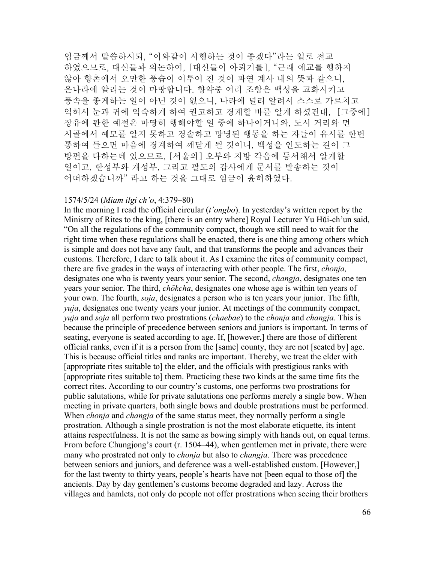임금께서 말씀하시되, "이와같이 시행하는 것이 좋겠다"라는 일로 전교 하였으므로, 대신들과 의논하여, [대신들이 아뢰기를], "근래 예교를 행하지 않아 향촌에서 오만한 풍습이 이루어 진 것이 과연 계사 내의 뜻과 같으니, 온나라에 알리는 것이 마땅합니다. 향약중 여러 조항은 백성을 교화시키고 풍속을 좋게하는 일이 아닌 것이 없으니, 나라에 널리 알려서 스스로 가르치고 익혀서 눈과 귀에 익숙하게 하여 권고하고 경계할 바를 알게 하셨건대, [그중에] 장유에 관한 예절은 마땅히 행해야할 일 중에 하나이거니와, 도시 거리와 먼 시골에서 예모를 알지 못하고 경솔하고 망녕된 행동을 하는 자들이 유시를 한번 통하여 들으면 마음에 경계하여 깨닫게 될 것이니, 백성을 인도하는 길이 그 방편을 다하는데 있으므로, [서울의] 오부와 지방 각읍에 등서해서 알게할 일이고, 한성부와 개성부, 그리고 팔도의 감사에게 문서를 발송하는 것이 어떠하겠습니까" 라고 하는 것을 그대로 임금이 윤허하였다.

### 1574/5/24 (*Miam ilgi ch'o*, 4:379–80)

In the morning I read the official circular (*t'ongbo*). In yesterday's written report by the Ministry of Rites to the king, [there is an entry where] Royal Lecturer Yu Hŭi-ch'un said, "On all the regulations of the community compact, though we still need to wait for the right time when these regulations shall be enacted, there is one thing among others which is simple and does not have any fault, and that transforms the people and advances their customs. Therefore, I dare to talk about it. As I examine the rites of community compact, there are five grades in the ways of interacting with other people. The first, *chonja,* designates one who is twenty years your senior. The second, *changja*, designates one ten years your senior. The third, *chŏkcha*, designates one whose age is within ten years of your own. The fourth, *soja*, designates a person who is ten years your junior. The fifth, *yuja*, designates one twenty years your junior. At meetings of the community compact, *yuja* and *soja* all perform two prostrations (*chaebae*) to the *chonja* and *changja*. This is because the principle of precedence between seniors and juniors is important. In terms of seating, everyone is seated according to age. If, [however,] there are those of different official ranks, even if it is a person from the [same] county, they are not [seated by] age. This is because official titles and ranks are important. Thereby, we treat the elder with [appropriate rites suitable to] the elder, and the officials with prestigious ranks with [appropriate rites suitable to] them. Practicing these two kinds at the same time fits the correct rites. According to our country's customs, one performs two prostrations for public salutations, while for private salutations one performs merely a single bow. When meeting in private quarters, both single bows and double prostrations must be performed. When *chonja* and *changja* of the same status meet, they normally perform a single prostration. Although a single prostration is not the most elaborate etiquette, its intent attains respectfulness. It is not the same as bowing simply with hands out, on equal terms. From before Chungjong's court (r. 1504–44), when gentlemen met in private, there were many who prostrated not only to *chonja* but also to *changja*. There was precedence between seniors and juniors, and deference was a well-established custom. [However,] for the last twenty to thirty years, people's hearts have not [been equal to those of] the ancients. Day by day gentlemen's customs become degraded and lazy. Across the villages and hamlets, not only do people not offer prostrations when seeing their brothers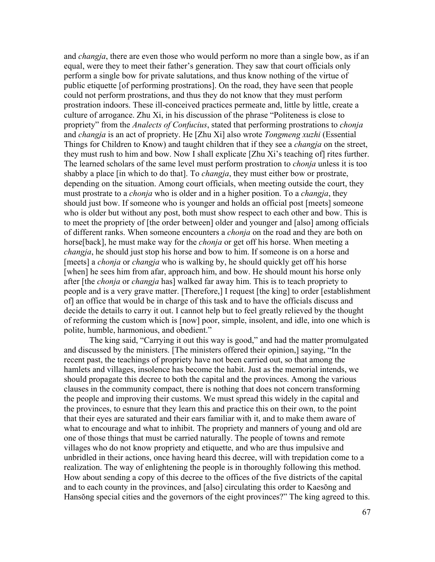and *changja*, there are even those who would perform no more than a single bow, as if an equal, were they to meet their father's generation. They saw that court officials only perform a single bow for private salutations, and thus know nothing of the virtue of public etiquette [of performing prostrations]. On the road, they have seen that people could not perform prostrations, and thus they do not know that they must perform prostration indoors. These ill-conceived practices permeate and, little by little, create a culture of arrogance. Zhu Xi, in his discussion of the phrase "Politeness is close to propriety" from the *Analects of Confucius*, stated that performing prostrations to *chonja*  and *changja* is an act of propriety. He [Zhu Xi] also wrote *Tongmeng xuzhi* (Essential Things for Children to Know) and taught children that if they see a *changja* on the street, they must rush to him and bow. Now I shall explicate [Zhu Xi's teaching of] rites further. The learned scholars of the same level must perform prostration to *chonja* unless it is too shabby a place [in which to do that]. To *changja*, they must either bow or prostrate, depending on the situation. Among court officials, when meeting outside the court, they must prostrate to a *chonja* who is older and in a higher position. To a *changja*, they should just bow. If someone who is younger and holds an official post [meets] someone who is older but without any post, both must show respect to each other and bow. This is to meet the propriety of [the order between] older and younger and [also] among officials of different ranks. When someone encounters a *chonja* on the road and they are both on horse[back], he must make way for the *chonja* or get off his horse. When meeting a *changja*, he should just stop his horse and bow to him. If someone is on a horse and [meets] a *chonja* or *changja* who is walking by, he should quickly get off his horse [when] he sees him from afar, approach him, and bow. He should mount his horse only after [the *chonja* or *changja* has] walked far away him. This is to teach propriety to people and is a very grave matter. [Therefore,] I request [the king] to order [establishment of] an office that would be in charge of this task and to have the officials discuss and decide the details to carry it out. I cannot help but to feel greatly relieved by the thought of reforming the custom which is [now] poor, simple, insolent, and idle, into one which is polite, humble, harmonious, and obedient."

The king said, "Carrying it out this way is good," and had the matter promulgated and discussed by the ministers. [The ministers offered their opinion,] saying, "In the recent past, the teachings of propriety have not been carried out, so that among the hamlets and villages, insolence has become the habit. Just as the memorial intends, we should propagate this decree to both the capital and the provinces. Among the various clauses in the community compact, there is nothing that does not concern transforming the people and improving their customs. We must spread this widely in the capital and the provinces, to esnure that they learn this and practice this on their own, to the point that their eyes are saturated and their ears familiar with it, and to make them aware of what to encourage and what to inhibit. The propriety and manners of young and old are one of those things that must be carried naturally. The people of towns and remote villages who do not know propriety and etiquette, and who are thus impulsive and unbridled in their actions, once having heard this decree, will with trepidation come to a realization. The way of enlightening the people is in thoroughly following this method. How about sending a copy of this decree to the offices of the five districts of the capital and to each county in the provinces, and [also] circulating this order to Kaesŏng and Hansŏng special cities and the governors of the eight provinces?" The king agreed to this.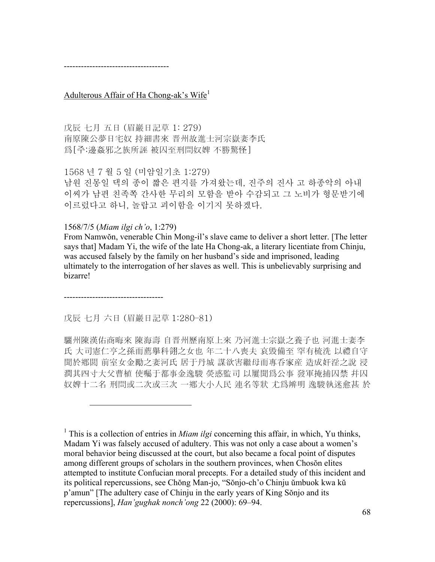-------------------------------------

Adulterous Affair of Ha Chong-ak's Wife<sup>1</sup>

戊辰 七月 五日 (眉巖日記草 1: 279) 南原陳公夢日宅奴 持細書來 晋州故進士河宗嶽妻李氏 爲[주:邊姦邪之族所誣 被囚至刑問奴婢 不勝驚怪]

1568 년 7 월 5 일 (미암일기초 1:279)

남원 진몽일 댁의 종이 짧은 편지를 가져왔는데, 진주의 진사 고 하종악의 아내 이씨가 남편 친족쪽 간사한 무리의 모함을 받아 수감되고 그 노비가 형문받기에 이르렀다고 하니, 놀랍고 괴이함을 이기지 못하겠다.

1568/7/5 (*Miam ilgi ch'o*, 1:279)

From Namwŏn, venerable Chin Mong-il's slave came to deliver a short letter. [The letter says that] Madam Yi, the wife of the late Ha Chong-ak, a literary licentiate from Chinju, was accused falsely by the family on her husband's side and imprisoned, leading ultimately to the interrogation of her slaves as well. This is unbelievably surprising and bizarre!

-----------------------------------

 $\overline{a}$ 

戊辰 七月 六日 (眉巖日記草 1:280–81)

驪州陳漢佑商晦來 陳海壽 自晋州歷南原上來 乃河進士宗嶽之養子也 河進士妻李 氏 大司憲仁亨之孫而薦擧科翎之女也 年二十八喪夫 哀毁備至 罕有梳洗 以禮自守 聞於鄕閭 前室女金勵之妻河氏 居于丹城 謀欲害繼母而專呑家産 造成奸淫之說 浸 潤其四寸大父曹植 使囑于都事金逸駿 熒惑監司 以屢聞爲公事 發軍掩捕囚禁 幷囚 奴婢十二名 刑問或二次或三次 一鄕大小人民 連名等狀 尤爲辨明 逸駿執迷愈甚 於

<sup>&</sup>lt;sup>1</sup> This is a collection of entries in *Miam ilgi* concerning this affair, in which, Yu thinks, Madam Yi was falsely accused of adultery. This was not only a case about a women's moral behavior being discussed at the court, but also became a focal point of disputes among different groups of scholars in the southern provinces, when Chosŏn elites attempted to institute Confucian moral precepts. For a detailed study of this incident and its political repercussions, see Chŏng Man-jo, "Sŏnjo-ch'o Chinju ŭmbuok kwa kŭ p'amun" [The adultery case of Chinju in the early years of King Sŏnjo and its repercussions], *Han'gughak nonch'ong* 22 (2000): 69–94.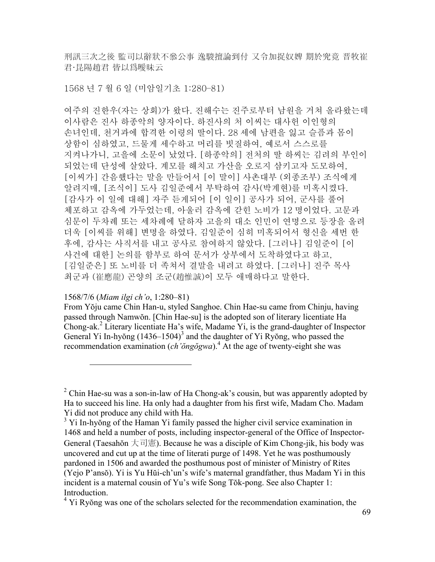刑訊三次之後 監司以辭狀不叅公事 逸駿擅論到付 又令加捉奴婢 期於究竟 晋牧崔 君·昆陽趙君 皆以爲曖昧云

1568 년 7 월 6 일 (미암일기초 1:280–81)

여주의 진한우(자는 상회)가 왔다. 진해수는 진주로부터 남원을 거쳐 올라왔는데 이사람은 진사 하종악의 양자이다. 하진사의 처 이씨는 대사헌 이인형의 손녀인데, 천거과에 합격한 이령의 딸이다. 28 세에 남편을 잃고 슬픔과 몸이 상함이 심하였고, 드물게 세수하고 머리를 빗질하여, 예로서 스스로를 지켜나가니, 고을에 소문이 났었다. [하종악의] 전처의 딸 하씨는 김려의 부인이 되었는데 단성에 살았다. 계모를 해치고 가산을 오로지 삼키고자 도모하여, [이씨가] 간음했다는 말을 만들어서 [이 말이] 사촌대부 (외종조부) 조식에게 알려지매, [조식이] 도사 김일준에서 부탁하여 감사(박계현)를 미혹시켰다. [감사가 이 일에 대해] 자주 듣게되어 [이 일이] 공사가 되어, 군사를 풀어 체포하고 감옥에 가두었는데, 아울러 감옥에 갇힌 노비가 12 명이었다. 고문과 심문이 두차례 또는 세차례에 달하자 고을의 대소 인민이 연명으로 등장을 올려 더욱 [이씨를 위해] 변명을 하였다. 김일준이 심히 미혹되어서 형신을 세번 한 후에, 감사는 사직서를 내고 공사로 참여하지 않았다. [그러나] 김일준이 [이 사건에 대한] 논의를 함부로 하여 문서가 상부에서 도착하였다고 하고, [김일준은] 또 노비를 더 족쳐서 결말을 내려고 하였다. [그러나] 진주 목사 최군과 (崔應龍) 곤양의 조군(趙惟誠)이 모두 애매하다고 말한다.

1568/7/6 (*Miam ilgi ch'o*, 1:280–81)

1

From Yŏju came Chin Han-u, styled Sanghoe. Chin Hae-su came from Chinju, having passed through Namwŏn. [Chin Hae-su] is the adopted son of literary licentiate Ha Chong-ak.<sup>2</sup> Literary licentiate Ha's wife, Madame Yi, is the grand-daughter of Inspector General Yi In-hyŏng  $(1436-1504)^3$  and the daughter of Yi Ryŏng, who passed the recommendation examination (*ch'ŏngŏgwa*).<sup>4</sup> At the age of twenty-eight she was

<sup>&</sup>lt;sup>2</sup> Chin Hae-su was a son-in-law of Ha Chong-ak's cousin, but was apparently adopted by Ha to succeed his line. Ha only had a daughter from his first wife, Madam Cho. Madam Yi did not produce any child with Ha.

<sup>&</sup>lt;sup>3</sup> Yi In-hyong of the Haman Yi family passed the higher civil service examination in 1468 and held a number of posts, including inspector-general of the Office of Inspector-General (Taesahŏn 大司憲). Because he was a disciple of Kim Chong-jik, his body was uncovered and cut up at the time of literati purge of 1498. Yet he was posthumously pardoned in 1506 and awarded the posthumous post of minister of Ministry of Rites (Yejo P'ansŏ). Yi is Yu Hŭi-ch'un's wife's maternal grandfather, thus Madam Yi in this incident is a maternal cousin of Yu's wife Song Tŏk-pong. See also Chapter 1: Introduction.

<sup>&</sup>lt;sup>4</sup> Yi Ryŏng was one of the scholars selected for the recommendation examination, the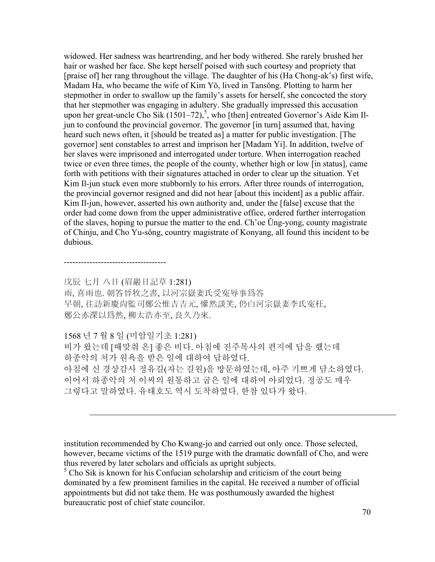widowed. Her sadness was heartrending, and her body withered. She rarely brushed her hair or washed her face. She kept herself poised with such courtesy and propriety that [praise of] her rang throughout the village. The daughter of his (Ha Chong-ak's) first wife, Madam Ha, who became the wife of Kim Yŏ, lived in Tansŏng. Plotting to harm her stepmother in order to swallow up the family's assets for herself, she concocted the story that her stepmother was engaging in adultery. She gradually impressed this accusation upon her great-uncle Cho Sik  $(1501-72)$ ,<sup>5</sup>, who [then] entreated Governor's Aide Kim Iljun to confound the provincial governor. The governor [in turn] assumed that, having heard such news often, it [should be treated as] a matter for public investigation. [The governor] sent constables to arrest and imprison her [Madam Yi]. In addition, twelve of her slaves were imprisoned and interrogated under torture. When interrogation reached twice or even three times, the people of the county, whether high or low [in status], came forth with petitions with their signatures attached in order to clear up the situation. Yet Kim Il-jun stuck even more stubbornly to his errors. After three rounds of interrogation, the provincial governor resigned and did not hear [about this incident] as a public affair. Kim Il-jun, however, asserted his own authority and, under the [false] excuse that the order had come down from the upper administrative office, ordered further interrogation of the slaves, hoping to pursue the matter to the end. Ch'oe Ŭng-yong, county magistrate of Chinju, and Cho Yu-sŏng, country magistrate of Konyang, all found this incident to be dubious.

戊辰 七月 八日 (眉巖日記草 1:281) 雨, 喜雨也. 朝答晉牧之書, 以河宗嶽妻氏受寃辱事爲答 早朝, 往訪新慶尙監司鄭公惟吉吉元, 懽然談笑, 仍白河宗嶽妻李氏寃枉, 鄭公亦深以爲然, 柳太浩亦至, 良久乃來.

1568 년 7 월 8 일 (미암일기초 1:281)

------------------------------------

1

비가 왔는데 [때맞춰 온] 좋은 비다. 아침에 진주목사의 편지에 답을 했는데 하종악의 처가 원욕을 받은 일에 대하여 답하였다. 아침에 신 경상감사 정유길(자는 길원)을 방문하였는데, 아주 기쁘게 담소하였다. 이어서 하종악의 처 이씨의 원통하고 굽은 일에 대하여 아뢰었다. 정공도 매우 그렇다고 말하였다. 유태호도 역시 도착하였다. 한참 있다가 왔다.

institution recommended by Cho Kwang-jo and carried out only once. Those selected, however, became victims of the 1519 purge with the dramatic downfall of Cho, and were thus revered by later scholars and officials as upright subjects.

<sup>5</sup> Cho Sik is known for his Confucian scholarship and criticism of the court being dominated by a few prominent families in the capital. He received a number of official appointments but did not take them. He was posthumously awarded the highest bureaucratic post of chief state councilor.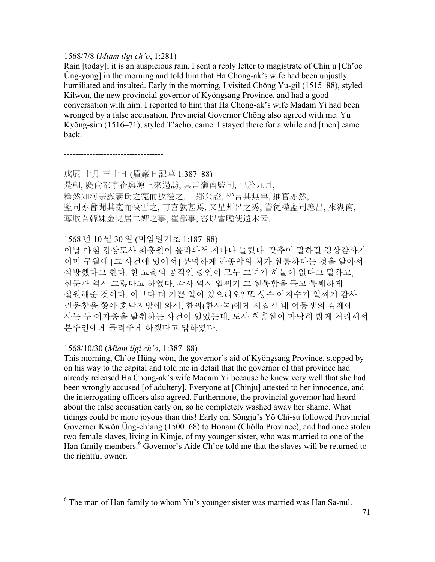### 1568/7/8 (*Miam ilgi ch'o*, 1:281)

Rain [today]; it is an auspicious rain. I sent a reply letter to magistrate of Chinju [Ch'oe Ŭng-yong] in the morning and told him that Ha Chong-ak's wife had been unjustly humiliated and insulted. Early in the morning, I visited Chŏng Yu-gil (1515–88), styled Kilwŏn, the new provincial governor of Kyŏngsang Province, and had a good conversation with him. I reported to him that Ha Chong-ak's wife Madam Yi had been wronged by a false accusation. Provincial Governor Chŏng also agreed with me. Yu Kyŏng-sim (1516–71), styled T'aeho, came. I stayed there for a while and [then] came back.

-----------------------------------

戊辰 十月 三十日 (眉巖日記草 1:387–88) 是朝, 慶尙都事崔興源上來過訪, 具言嶺南監司, 已於九月, 釋然知河宗嶽妻氏之寃而放送之, 一鄕公證, 皆言其無辜, 推官亦然, 監司亦曾聞其寃而快雪之, 可喜孰甚焉, 又星州呂之秀, 嘗從權監司應昌, 來湖南, 奪取吾韓妹金堤居二婢之事, 崔都事, 答以當曉使還本云.

# 1568 년 10 월 30 일 (미암일기초 1:187–88)

이날 아침 경상도사 최흥원이 올라와서 지나다 들렸다. 갖추어 말하길 경상감사가 이미 구월에 [그 사건에 있어서] 분명하게 하종악의 처가 원통하다는 것을 알아서 석방했다고 한다. 한 고을의 공적인 증언이 모두 그녀가 허물이 없다고 말하고, 심문관 역시 그렇다고 하였다. 감사 역시 일찌기 그 원통함을 듣고 통쾌하게 설원해준 것이다. 이보다 더 기쁜 일이 있으리오? 또 성주 여지수가 일찌기 감사 권응창을 쫒아 호남지방에 와서, 한씨(한사눌)에게 시집간 내 여동생의 김제에 사는 두 여자종을 탈취하는 사건이 있었는데, 도사 최흥원이 마땅히 밝게 처리해서 본주인에게 돌려주게 하겠다고 답하였다.

## 1568/10/30 (*Miam ilgi ch'o*, 1:387–88)

 $\overline{a}$ 

This morning, Ch'oe Hŭng-wŏn, the governor's aid of Kyŏngsang Province, stopped by on his way to the capital and told me in detail that the governor of that province had already released Ha Chong-ak's wife Madam Yi because he knew very well that she had been wrongly accused [of adultery]. Everyone at [Chinju] attested to her innocence, and the interrogating officers also agreed. Furthermore, the provincial governor had heard about the false accusation early on, so he completely washed away her shame. What tidings could be more joyous than this! Early on, Sŏngju's Yŏ Chi-su followed Provincial Governor Kwŏn Ŭng-ch'ang (1500–68) to Honam (Chŏlla Province), and had once stolen two female slaves, living in Kimje, of my younger sister, who was married to one of the Han family members.<sup>6</sup> Governor's Aide Ch'oe told me that the slaves will be returned to the rightful owner.

 $6$  The man of Han family to whom Yu's younger sister was married was Han Sa-nul.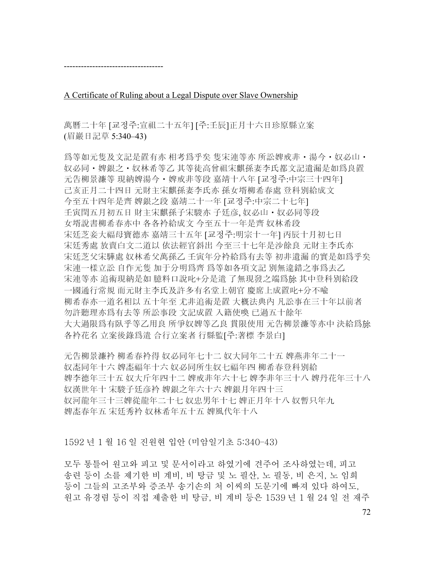-----------------------------------

A Certificate of Ruling about a Legal Dispute over Slave Ownership

萬曆二十年 [교정주:宣祖二十五年] [주:壬辰]正月十六日珍原縣立案 (眉巖日記草 5:340–43)

爲等如元隻及文記是置有亦 相考爲乎矣 隻宋連等亦 所訟婢戒非・湯今・奴必山・ 奴必同 • 婢銀之 • 奴林希等乙 其等徒高曾祖宋麒孫妻李氏都文記遺漏是如爲良置 元告柳景濂等 現納婢湯今・婢戒非等段 嘉靖十八年 [교정주:中宗三十四年] 己亥正月二十四日 元財主宋麒孫妻李氏亦 孫女壻柳希春處 登科別給成文 今至五十四年是齊 婢銀之段 嘉靖二十一年 [교정주:中宗二十七年] 壬寅閏五月初五日 財主宋麒孫子宋駿亦 子廷彦, 奴必山・奴必同等段 女壻說書柳希春亦中 各各衿給成文 今至五十一年是齊 奴林希段 宋廷芝妾大福母寶德亦 嘉靖三十五年 [교정주:明宗十一年] 丙辰十月初七日 宋廷秀處 放賣白文二道以 依法經官斜出 今至三十七年是沙餘良 元財主李氏亦 宋廷芝父宋驊處 奴林希父萬孫乙 壬寅年分衿給爲有去等 初非遺漏 的實是如爲乎矣 宋連一樣立訟 自作元隻 加于分明爲齊 爲等如各項文記 別無違錯之事爲去乙 宋連等亦 追術現納是如 臆料口說叱+分是遣 了無現發之端爲旀 其中登科別給段 一國通行常規 而元財主李氏及許多有名堂上朝官 慶席上成置叱+分不喩 柳希春亦一道名相以 五十年至 尤非追術是置 大槪法典內 凡訟事在三十年以前者 勿許聽理亦爲有去等 所訟事段 文記成置 入籍使喚 已過五十餘年 大大過限爲有臥乎等乙用良 所爭奴婢等乙良 貫限使用 元告柳景濂等亦中 決給爲旀 各衿花名 立案後錄爲遣 合行立案者 行縣監[주:著標 李景白]

元告柳景濂衿 柳希春衿得 奴必同年七十二 奴大同年二十五 婢燕非年二十一 奴唜同年十六 婢唜福年十六 奴必同所生奴七福年四 柳希春登科別給 婢李德年三十五 奴大斤年四十二 婢戒非年六十七 婢李非年三十八 婢丹花年三十八 奴漢世年十 宋駿子廷彦衿 婢銀之年六十六 婢銀月年四十三 奴河龍年三十三婢從龍年二十七 奴忠男年十七 婢正月年十八 奴暫只年九 婢唜春年五 宋廷秀衿 奴林希年五十五 婢風代年十八

1592 년 1 월 16 일 진원현 입안 (미암일기초 5:340–43)

모두 통틀어 원고와 피고 및 문서이라고 하였기에 견주어 조사하였는데, 피고 송련 등이 소를 제기한 비 계비, 비 탕금 및 노 필산, 노 필동, 비 은지, 노 임희 등이 그들의 고조부와 증조부 송기손의 처 이씨의 도문기에 빠져 있다 하여도, 원고 유경렴 등이 직접 제출한 비 탕금, 비 계비 등은 1539 년 1 월 24 일 전 재주

72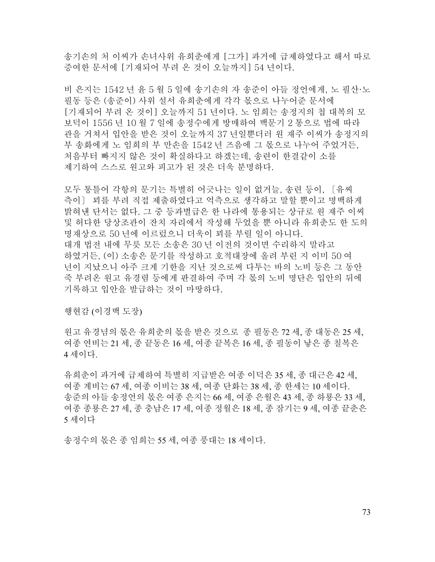송기손의 처 이씨가 손녀사위 유희춘에게 [그가] 과거에 급제하였다고 해서 따로 증여한 문서에 [기재되어 부려 온 것이 오늘까지] 54 년이다.

비 은지는 1542 년 윤 5 월 5 일에 송기손의 자 송준이 아들 정언에게, 노 필산·노 필동 등은 (송준이) 사위 설서 유희춘에게 각각 몫으로 나누어준 문서에 [기재되어 부려 온 것이] 오늘까지 51 년이다. 노 임희는 송정지의 첩 대복의 모 보덕이 1556 년 10 월 7 일에 송정수에게 방매하여 백문기 2 통으로 법에 따라 관을 거쳐서 입안을 받은 것이 오늘까지 37 년일뿐더러 원 재주 이씨가 송정지의 부 송화에게 노 임희의 부 만손을 1542 년 즈음에 그 몫으로 나누어 주었거든, 처음부터 빠지지 않은 것이 확실하다고 하겠는데, 송련이 한결같이 소를 제기하여 스스로 원고와 피고가 된 것은 더욱 분명하다.

모두 통틀어 각항의 문기는 특별히 어긋나는 일이 없거늘, 송련 등이, 〔유씨 측이〕 꾀를 부려 직접 제출하였다고 억측으로 생각하고 말할 뿐이고 명백하게 밝혀낸 단서는 없다. 그 중 등과별급은 한 나라에 통용되는 상규로 원 재주 이씨 및 허다한 당상조관이 잔치 자리에서 작성해 두었을 뿐 아니라 유희춘도 한 도의 명재상으로 50 년에 이르렀으니 더욱이 꾀를 부릴 일이 아니다. 대개 법전 내에 무릇 모든 소송은 30 년 이전의 것이면 수리하지 말라고 하였거든, (이) 소송은 문기를 작성하고 호적대장에 올려 부린 지 이미 50 여 년이 지났으니 아주 크게 기한을 지난 것으로써 다투는 바의 노비 등은 그 동안 죽 부려온 원고 유경렴 등에게 판결하여 주며 각 몫의 노비 명단은 입안의 뒤에 기록하고 입안을 발급하는 것이 마땅하다.

행현감 (이경백 도장)

원고 유경념의 몫은 유희춘의 몫을 받은 것으로 종 필동은 72 세, 종 대동은 25 세, 여종 연비는 21 세, 종 끝동은 16 세, 여종 끝복은 16 세, 종 필동이 낳은 종 칠복은 4 세이다.

유희춘이 과거에 급제하여 특별히 지급받은 여종 이덕은 35 세, 종 대근은 42 세, 여종 계비는 67 세, 여종 이비는 38 세, 여종 단화는 38 세, 종 한세는 10 세이다. 송준의 아들 송정언의 몫은 여종 은지는 66 세, 여종 은월은 43 세, 종 하룡은 33 세, 여종 종룡은 27 세, 종 충남은 17 세, 여종 정월은 18 세, 종 잠기는 9 세, 여종 끝춘은 5 세이다

송정수의 몫은 종 임희는 55 세, 여종 풍대는 18 세이다.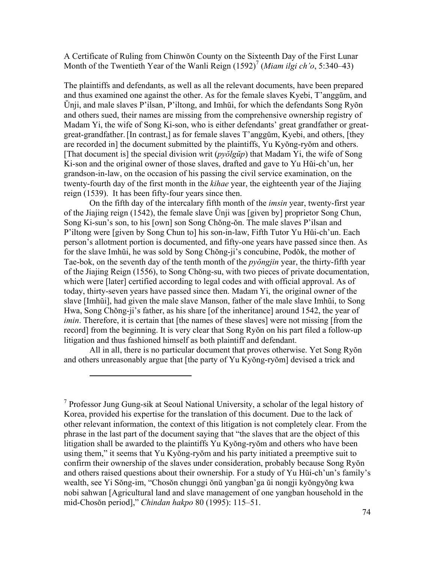A Certificate of Ruling from Chinwŏn County on the Sixteenth Day of the First Lunar Month of the Twentieth Year of the Wanli Reign (1592)<sup>7</sup> (Miam ilgi ch'o, 5:340–43)

The plaintiffs and defendants, as well as all the relevant documents, have been prepared and thus examined one against the other. As for the female slaves Kyebi, T'anggŭm, and Ŭnji, and male slaves P'ilsan, P'iltong, and Imhŭi, for which the defendants Song Ryŏn and others sued, their names are missing from the comprehensive ownership registry of Madam Yi, the wife of Song Ki-son, who is either defendants' great grandfather or greatgreat-grandfather.[In contrast,] as for female slaves T'anggŭm, Kyebi, and others, [they are recorded in] the document submitted by the plaintiffs, Yu Kyŏng-ryŏm and others. [That document is] the special division writ (*pyŏlgŭp*) that Madam Yi, the wife of Song Ki-son and the original owner of those slaves, drafted and gave to Yu Hŭi-ch'un, her grandson-in-law, on the occasion of his passing the civil service examination, on the twenty-fourth day of the first month in the *kihae* year, the eighteenth year of the Jiajing reign (1539). It has been fifty-four years since then.

On the fifth day of the intercalary fifth month of the *imsin* year, twenty-first year of the Jiajing reign (1542), the female slave Ŭnji was [given by] proprietor Song Chun, Song Ki-sun's son, to his [own] son Song Chŏng-ŏn. The male slaves P'ilsan and P'iltong were [given by Song Chun to] his son-in-law, Fifth Tutor Yu Hŭi-ch'un. Each person's allotment portion is documented, and fifty-one years have passed since then. As for the slave Imhŭi, he was sold by Song Chŏng-ji's concubine, Podŏk, the mother of Tae-bok, on the seventh day of the tenth month of the *pyŏngjin* year, the thirty-fifth year of the Jiajing Reign (1556), to Song Chŏng-su, with two pieces of private documentation, which were [later] certified according to legal codes and with official approval. As of today, thirty-seven years have passed since then. Madam Yi, the original owner of the slave [Imhŭi], had given the male slave Manson, father of the male slave Imhŭi, to Song Hwa, Song Chŏng-ji's father, as his share [of the inheritance] around 1542, the year of *imin*. Therefore, it is certain that [the names of these slaves] were not missing [from the record] from the beginning. It is very clear that Song Ryŏn on his part filed a follow-up litigation and thus fashioned himself as both plaintiff and defendant.

All in all, there is no particular document that proves otherwise. Yet Song Ryŏn and others unreasonably argue that [the party of Yu Kyŏng-ryŏm] devised a trick and

<u>.</u>

<sup>7</sup> Professor Jung Gung-sik at Seoul National University, a scholar of the legal history of Korea, provided his expertise for the translation of this document. Due to the lack of other relevant information, the context of this litigation is not completely clear. From the phrase in the last part of the document saying that "the slaves that are the object of this litigation shall be awarded to the plaintiffs Yu Kyŏng-ryŏm and others who have been using them," it seems that Yu Kyŏng-ryŏm and his party initiated a preemptive suit to confirm their ownership of the slaves under consideration, probably because Song Ryŏn and others raised questions about their ownership. For a study of Yu Hŭi-ch'un's family's wealth, see Yi Sŏng-im, "Chosŏn chunggi ŏnŭ yangban'ga ŭi nongji kyŏngyŏng kwa nobi sahwan [Agricultural land and slave management of one yangban household in the mid-Chosŏn period]," *Chindan hakpo* 80 (1995): 115–51.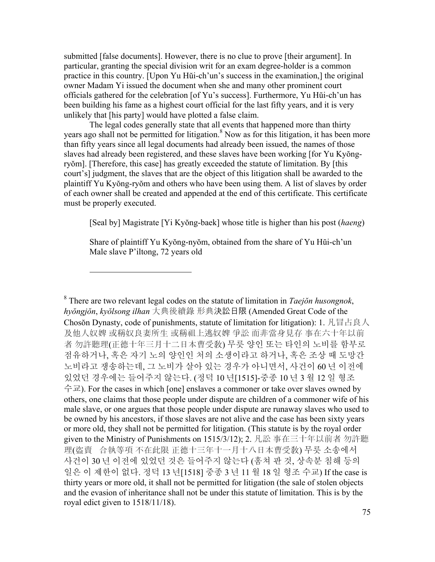submitted [false documents]. However, there is no clue to prove [their argument]. In particular, granting the special division writ for an exam degree-holder is a common practice in this country. [Upon Yu Hŭi-ch'un's success in the examination,] the original owner Madam Yi issued the document when she and many other prominent court officials gathered for the celebration [of Yu's success]. Furthermore, Yu Hŭi-ch'un has been building his fame as a highest court official for the last fifty years, and it is very unlikely that [his party] would have plotted a false claim.

The legal codes generally state that all events that happened more than thirty years ago shall not be permitted for litigation.<sup>8</sup> Now as for this litigation, it has been more than fifty years since all legal documents had already been issued, the names of those slaves had already been registered, and these slaves have been working [for Yu Kyŏngryŏm]. [Therefore, this case] has greatly exceeded the statute of limitation. By [this court's] judgment, the slaves that are the object of this litigation shall be awarded to the plaintiff Yu Kyŏng-ryŏm and others who have been using them. A list of slaves by order of each owner shall be created and appended at the end of this certificate. This certificate must be properly executed.

[Seal by] Magistrate [Yi Kyŏng-baek] whose title is higher than his post (*haeng*)

Share of plaintiff Yu Kyŏng-nyŏm, obtained from the share of Yu Hŭi-ch'un Male slave P'iltong, 72 years old

 $\overline{a}$ 

8 There are two relevant legal codes on the statute of limitation in *Taejŏn husongnok*, *hyŏngjŏn*, *kyŏlsong ilhan* 大典後續錄 形典決訟日限 (Amended Great Code of the Chosŏn Dynasty, code of punishments, statute of limitation for litigation): 1. 凡冒占良人 及他人奴婢 或稱奴良妻所生 或稱祖上逃奴婢 爭訟 而非當身見存 事在六十年以前 者 勿許聽理(正德十年三月十二日本曹受敎) 무릇 양인 또는 타인의 노비를 함부로 점유하거나, 혹은 자기 노의 양인인 처의 소생이라고 하거나, 혹은 조상 때 도망간 노비라고 쟁송하는데, 그 노비가 살아 있는 경우가 아니면서, 사건이 60 년 이전에 있었던 경우에는 들어주지 않는다. (정덕 10 년[1515]-중종 10 년 3 월 12 일 형조 수교). For the cases in which [one] enslaves a commoner or take over slaves owned by others, one claims that those people under dispute are children of a commoner wife of his male slave, or one argues that those people under dispute are runaway slaves who used to be owned by his ancestors, if those slaves are not alive and the case has been sixty years or more old, they shall not be permitted for litigation. (This statute is by the royal order given to the Ministry of Punishments on 1515/3/12); 2. 凡訟 事在三十年以前者 勿許聽 理(盜賣合執等項 不在此限 正德十三年十一月十八日本曹受敎) 무릇 소송에서 사건이 30 년 이전에 있었던 것은 들어주지 않는다 (훔쳐 판 것, 상속분 침해 등의 일은 이 제한이 없다. 정덕 13 년[1518] 중종 3 년 11 월 18 일 형조 수교) If the case is thirty years or more old, it shall not be permitted for litigation (the sale of stolen objects and the evasion of inheritance shall not be under this statute of limitation. This is by the royal edict given to 1518/11/18).